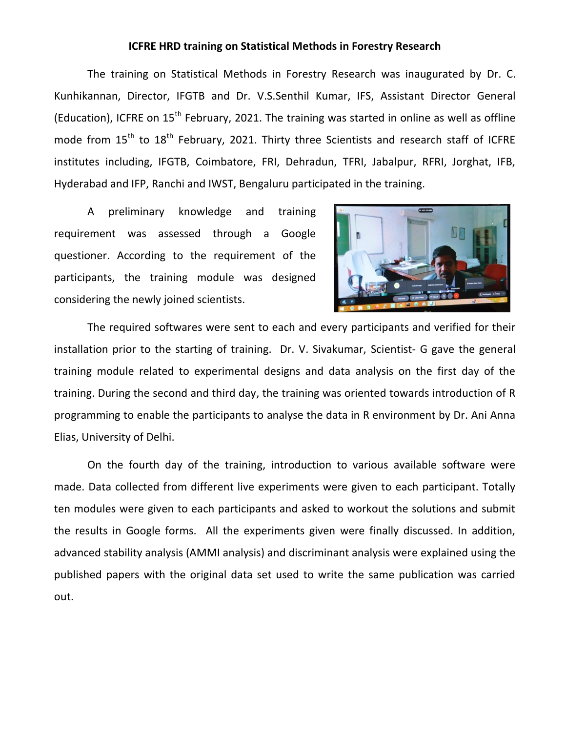## **ICFRE HRD training on Statistical Methods in Forestry Research**

The training on Statistical Methods in Forestry Research was inaugurated by Dr. C. Kunhikannan, Director, IFGTB and Dr. V.S.Senthil Kumar, IFS, Assistant Director General (Education), ICFRE on  $15<sup>th</sup>$  February, 2021. The training was started in online as well as offline mode from  $15<sup>th</sup>$  to  $18<sup>th</sup>$  February, 2021. Thirty three Scientists and research staff of ICFRE institutes including, IFGTB, Coimbatore, FRI, Dehradun, TFRI, Jabalpur, RFRI, Jorghat, IFB, Hyderabad and IFP, Ranchi and IWST, Bengaluru participated in the training.

A preliminary knowledge and training requirement was assessed through a Google questioner. According to the requirement of the participants, the training module was designed considering the newly joined scientists.



The required softwares were sent to each and every participants and verified for their installation prior to the starting of training. Dr. V. Sivakumar, Scientist- G gave the general training module related to experimental designs and data analysis on the first day of the training. During the second and third day, the training was oriented towards introduction of R programming to enable the participants to analyse the data in R environment by Dr. Ani Anna Elias, University of Delhi.

On the fourth day of the training, introduction to various available software were made. Data collected from different live experiments were given to each participant. Totally ten modules were given to each participants and asked to workout the solutions and submit the results in Google forms. All the experiments given were finally discussed. In addition, advanced stability analysis (AMMI analysis) and discriminant analysis were explained using the published papers with the original data set used to write the same publication was carried out.